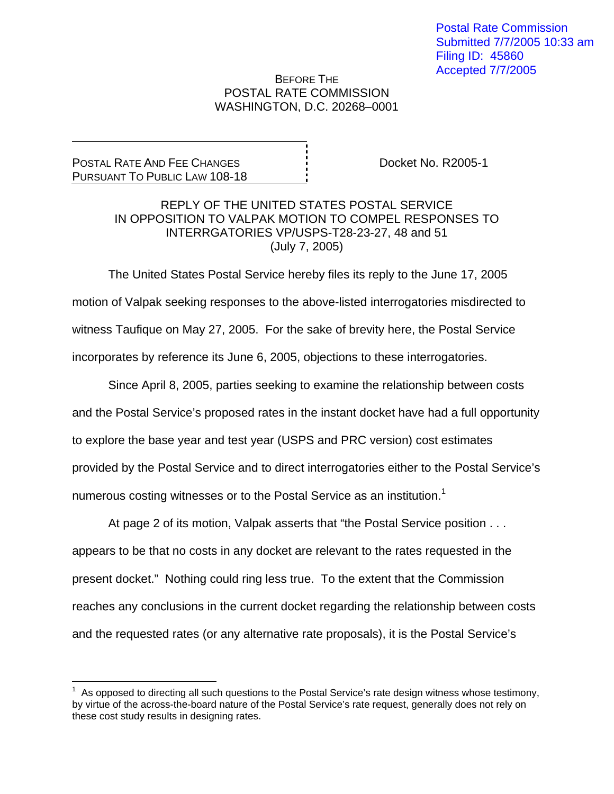## BEFORE THE POSTAL RATE COMMISSION WASHINGTON, D.C. 20268–0001

POSTAL RATE AND FEE CHANGES PURSUANT TO PUBLIC LAW 108-18

 $\overline{a}$ 

Docket No. R2005-1

## REPLY OF THE UNITED STATES POSTAL SERVICE IN OPPOSITION TO VALPAK MOTION TO COMPEL RESPONSES TO INTERRGATORIES VP/USPS-T28-23-27, 48 and 51 (July 7, 2005)

 The United States Postal Service hereby files its reply to the June 17, 2005 motion of Valpak seeking responses to the above-listed interrogatories misdirected to witness Taufique on May 27, 2005. For the sake of brevity here, the Postal Service incorporates by reference its June 6, 2005, objections to these interrogatories.

 Since April 8, 2005, parties seeking to examine the relationship between costs and the Postal Service's proposed rates in the instant docket have had a full opportunity to explore the base year and test year (USPS and PRC version) cost estimates provided by the Postal Service and to direct interrogatories either to the Postal Service's numerous costing witnesses or to the Postal Service as an institution.<sup>1</sup>

 At page 2 of its motion, Valpak asserts that "the Postal Service position . . . appears to be that no costs in any docket are relevant to the rates requested in the present docket." Nothing could ring less true. To the extent that the Commission reaches any conclusions in the current docket regarding the relationship between costs and the requested rates (or any alternative rate proposals), it is the Postal Service's

 $1$  As opposed to directing all such questions to the Postal Service's rate design witness whose testimony, by virtue of the across-the-board nature of the Postal Service's rate request, generally does not rely on these cost study results in designing rates.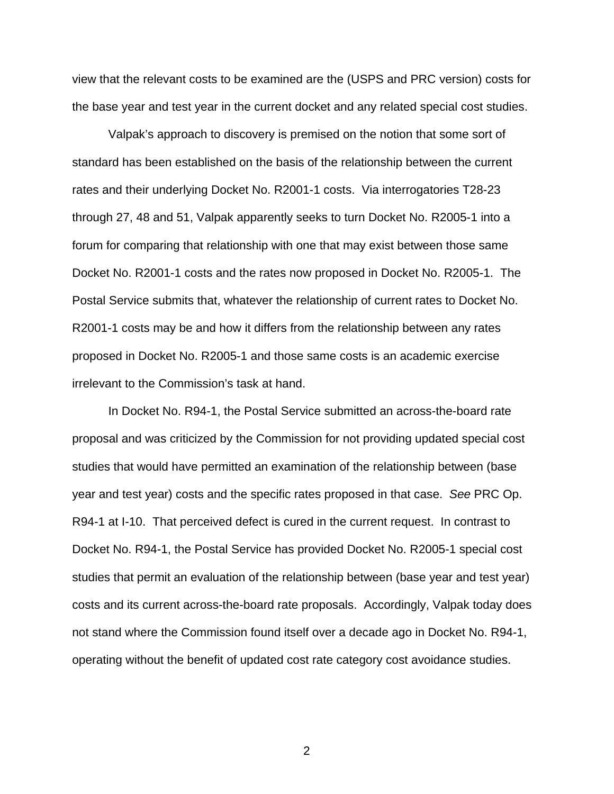view that the relevant costs to be examined are the (USPS and PRC version) costs for the base year and test year in the current docket and any related special cost studies.

 Valpak's approach to discovery is premised on the notion that some sort of standard has been established on the basis of the relationship between the current rates and their underlying Docket No. R2001-1 costs. Via interrogatories T28-23 through 27, 48 and 51, Valpak apparently seeks to turn Docket No. R2005-1 into a forum for comparing that relationship with one that may exist between those same Docket No. R2001-1 costs and the rates now proposed in Docket No. R2005-1. The Postal Service submits that, whatever the relationship of current rates to Docket No. R2001-1 costs may be and how it differs from the relationship between any rates proposed in Docket No. R2005-1 and those same costs is an academic exercise irrelevant to the Commission's task at hand.

 In Docket No. R94-1, the Postal Service submitted an across-the-board rate proposal and was criticized by the Commission for not providing updated special cost studies that would have permitted an examination of the relationship between (base year and test year) costs and the specific rates proposed in that case. *See* PRC Op. R94-1 at I-10. That perceived defect is cured in the current request. In contrast to Docket No. R94-1, the Postal Service has provided Docket No. R2005-1 special cost studies that permit an evaluation of the relationship between (base year and test year) costs and its current across-the-board rate proposals. Accordingly, Valpak today does not stand where the Commission found itself over a decade ago in Docket No. R94-1, operating without the benefit of updated cost rate category cost avoidance studies.

2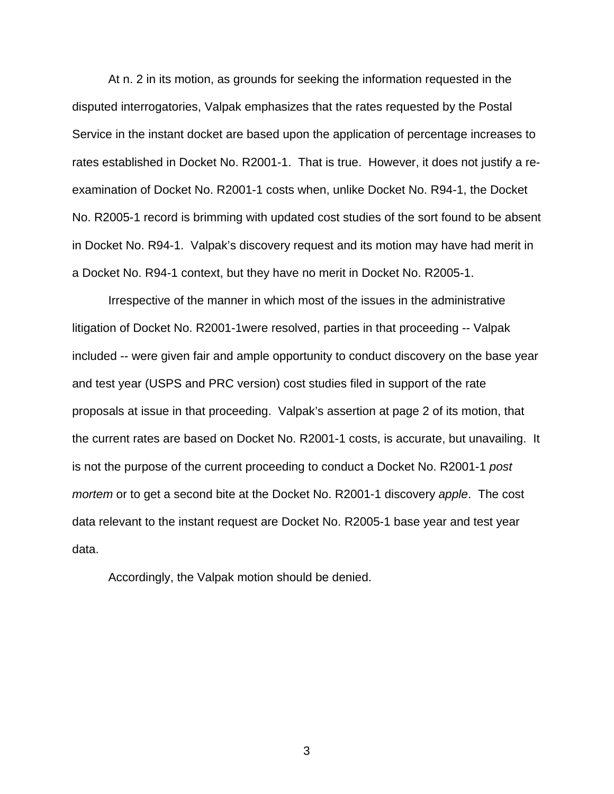At n. 2 in its motion, as grounds for seeking the information requested in the disputed interrogatories, Valpak emphasizes that the rates requested by the Postal Service in the instant docket are based upon the application of percentage increases to rates established in Docket No. R2001-1. That is true. However, it does not justify a reexamination of Docket No. R2001-1 costs when, unlike Docket No. R94-1, the Docket No. R2005-1 record is brimming with updated cost studies of the sort found to be absent in Docket No. R94-1. Valpak's discovery request and its motion may have had merit in a Docket No. R94-1 context, but they have no merit in Docket No. R2005-1.

 Irrespective of the manner in which most of the issues in the administrative litigation of Docket No. R2001-1were resolved, parties in that proceeding -- Valpak included -- were given fair and ample opportunity to conduct discovery on the base year and test year (USPS and PRC version) cost studies filed in support of the rate proposals at issue in that proceeding. Valpak's assertion at page 2 of its motion, that the current rates are based on Docket No. R2001-1 costs, is accurate, but unavailing. It is not the purpose of the current proceeding to conduct a Docket No. R2001-1 *post mortem* or to get a second bite at the Docket No. R2001-1 discovery *apple*. The cost data relevant to the instant request are Docket No. R2005-1 base year and test year data.

Accordingly, the Valpak motion should be denied.

3